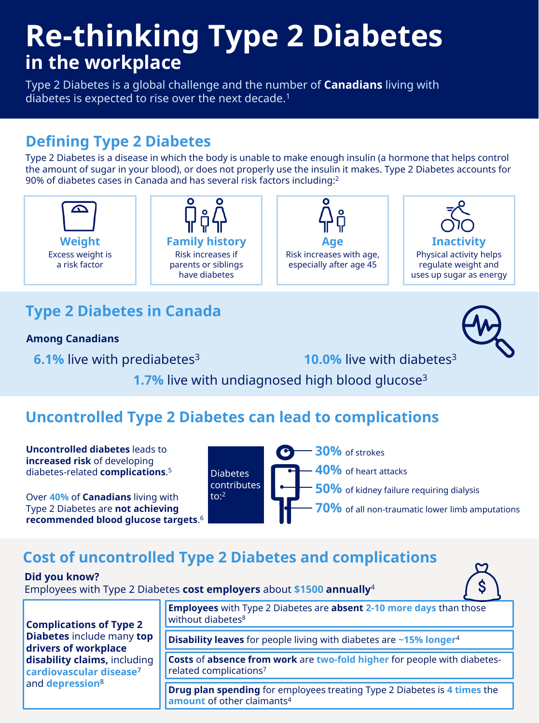# **Re-thinking Type 2 Diabetes in the workplace**

Type 2 Diabetes is a global challenge and the number of **Canadians** living with diabetes is expected to rise over the next decade.<sup>1</sup>

## **Defining Type 2 Diabetes**

Type 2 Diabetes is a disease in which the body is unable to make enough insulin (a hormone that helps control the amount of sugar in your blood), or does not properly use the insulin it makes. Type 2 Diabetes accounts for 90% of diabetes cases in Canada and has several risk factors including:<sup>2</sup>



# **Type 2 Diabetes in Canada**

**Among Canadians**

**6.1%** live with prediabetes<sup>3</sup> **10.0%** live with diabetes<sup>3</sup>



**1.7%** live with undiagnosed high blood glucose<sup>3</sup>

# **Uncontrolled Type 2 Diabetes can lead to complications**

**Uncontrolled diabetes** leads to **increased risk** of developing diabetes-related **complications**. 5

Over **40%** of **Canadians** living with Type 2 Diabetes are **not achieving recommended blood glucose targets**. 6



- **30%** of strokes
- **40%** of heart attacks
	- **50%** of kidney failure requiring dialysis

**70%** of all non-traumatic lower limb amputations

# **Cost of uncontrolled Type 2 Diabetes and complications**

#### **Did you know?**

Employees with Type 2 Diabetes **cost employers** about **\$1500 annually**<sup>4</sup>



**Complications of Type 2 Diabetes** include many **top drivers of workplace disability claims,** including **cardiovascular disease**<sup>7</sup> and **depression**<sup>8</sup>

**Employees** with Type 2 Diabetes are **absent 2-10 more days** than those without diabetes<sup>8</sup>

**Disability leaves** for people living with diabetes are **~15% longer**<sup>4</sup>

**Costs** of **absence from work** are **two-fold higher** for people with diabetesrelated complications<sup>7</sup>

**Drug plan spending** for employees treating Type 2 Diabetes is **4 times** the **amount** of other claimants<sup>4</sup>